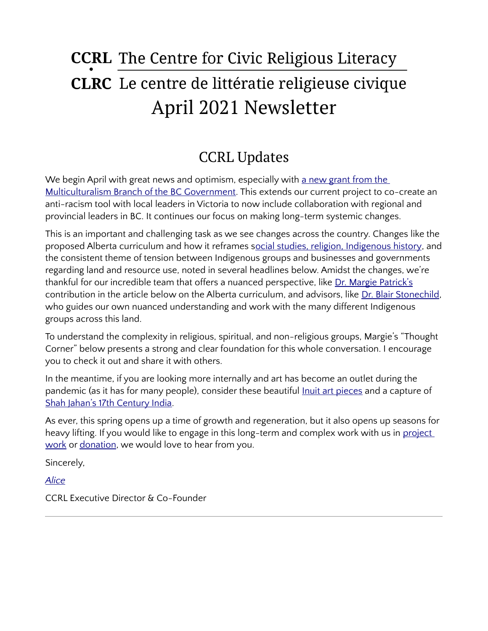# **CCRL** The Centre for Civic Religious Literacy **CLRC** Le centre de littératie religieuse civique April 2021 Newsletter

# CCRL Updates

We begin April with great news and optimism, especially with a new grant from the [Multiculturalism Branch of the BC Government](https://ccrl-clrc.ca/work/projects/discussing-racism/). This extends our current project to co-create an anti-racism tool with local leaders in Victoria to now include collaboration with regional and provincial leaders in BC. It continues our focus on making long-term systemic changes.

This is an important and challenging task as we see changes across the country. Changes like the proposed Alberta curriculum and how it reframes [social studies, religion, Indigenous history](https://globalnews.ca/news/7729806/alberta-school-curriculum-social-studies-criticism/), and the consistent theme of tension between Indigenous groups and businesses and governments regarding land and resource use, noted in several headlines below. Amidst the changes, we're thankful for our incredible team that offers a nuanced perspective, like [Dr. Margie Patrick's](https://ccrl-clrc.ca/margie-patrick/) contribution in the article below on the Alberta curriculum, and advisors, like [Dr. Blair Stonechild](https://ccrl-clrc.ca/about/board-and-advisors/), who guides our own nuanced understanding and work with the many different Indigenous groups across this land.

To understand the complexity in religious, spiritual, and non-religious groups, Margie's "Thought Corner" below presents a strong and clear foundation for this whole conversation. I encourage you to check it out and share it with others.

In the meantime, if you are looking more internally and art has become an outlet during the pandemic (as it has for many people), consider these beautiful [Inuit art pieces](https://www.cbc.ca/arts/get-an-inside-look-at-3-works-from-inua-at-qaumajuq-the-world-s-largest-collection-of-inuit-art-1.5979962) and a capture of [Shah Jahan's 17th Century India.](https://www.nytimes.com/interactive/2021/04/02/arts/design/shah-jahan-chitarman.html)

As ever, this spring opens up a time of growth and regeneration, but it also opens up seasons for heavy lifting. If you would like to engage in this long-term and complex work with us in project [work](https://ccrl-clrc.ca/work/projects/) or [donation,](https://ccrl-clrc.ca/support-us/) we would love to hear from you.

Sincerely,

*[Alice](https://ccrl-clrc.ca/alice-chan/)*

CCRL Executive Director & Co-Founder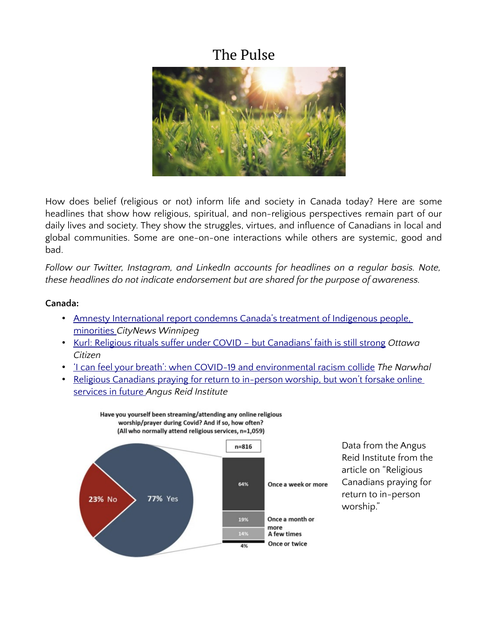### The Pulse



How does belief (religious or not) inform life and society in Canada today? Here are some headlines that show how religious, spiritual, and non-religious perspectives remain part of our daily lives and society. They show the struggles, virtues, and influence of Canadians in local and global communities. Some are one-on-one interactions while others are systemic, good and bad.

*Follow our Twitter, Instagram, and LinkedIn accounts for headlines on a regular basis. Note, these headlines do not indicate endorsement but are shared for the purpose of awareness.* 

#### **Canada:**

- • [Amnesty International report condemns Canada's treatment of Indigenous people,](https://winnipeg.citynews.ca/2021/04/07/amnesty-international-report-condemns-canadas-treatment-of-indigenous-people-minorities/)  [minorities](https://winnipeg.citynews.ca/2021/04/07/amnesty-international-report-condemns-canadas-treatment-of-indigenous-people-minorities/) *CityNews Winnipeg*
- • [Kurl: Religious rituals suffer under COVID but Canadians' faith is still strong](https://ottawacitizen.com/opinion/kurl-religious-rituals-suffer-under-covid-but-canadians-faith-is-still-strong) *Ottawa Citizen*
- • ['I can feel your breath': when COVID-19 and environmental racism collide](https://thenarwhal.ca/covid-19-environmental-racism-canada/) *The Narwhal*
- Religious Canadians praying for return to in-person worship, but won't forsake online [services in future](https://angusreid.org/covid-religion-easter-2021/) *Angus Reid Institute*



Have you yourself been streaming/attending any online religious

Data from the Angus Reid Institute from the article on "Religious Canadians praying for return to in-person worship."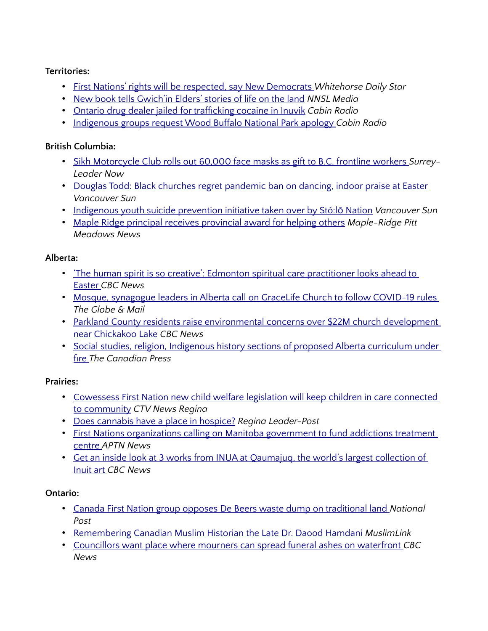#### **Territories:**

- • [First Nations' rights will be respected, say New Democrats](https://www.whitehorsestar.com/News/first-nations-rights-will-be-respected-say-new-democrats) *Whitehorse Daily Star*
- [New book tells Gwich'in Elders' stories of life on the land](https://www.nnsl.com/nwtnewsnorth/new-book-tells-gwichin-elders-stories-of-life-on-the-land/) *NNSL Media*
- • [Ontario drug dealer jailed for trafficking cocaine in Inuvik](https://cabinradio.ca/59231/news/beaufort-delta/ontario-drug-dealer-jailed-for-trafficking-cocaine-in-inuvik/) *Cabin Radio*
- • [Indigenous groups request Wood Buffalo National Park apology](https://cabinradio.ca/58843/news/south-slave/indigenous-groups-request-wood-buffalo-national-park-apology/) *Cabin Radio*

#### **British Columbia:**

- • [Sikh Motorcycle Club rolls out 60,000 face masks as gift to B.C. frontline workers](https://www.surreynowleader.com/community/sikh-motorcycle-club-rolls-out-60000-face-masks-as-gift-to-b-c-frontline-workers/) *Surrey-Leader Now*
- [•](https://vancouversun.com/opinion/columnists/douglas-todd-b-c-s-black-churches-regret-pandemic-ban-on-dancing-indoor-praise-at-easter) Douglas Todd: Black churches regret pandemic ban on dancing, indoor praise at Easter *Vancouver Sun*
- Indigenous youth suicide prevention initiative taken over by Stó:lō Nation Vancouver Sun
- • [Maple Ridge principal receives provincial award for helping others](https://www.mapleridgenews.com/community/maple-ridge-principal-receives-provincial-award-for-helping-others/) *Maple-Ridge Pitt Meadows News*

#### **Alberta:**

- The human spirit is so creative': Edmonton spiritual care practitioner looks ahead to [Easter](https://www.cbc.ca/news/canada/edmonton/the-human-spirit-is-so-creative-edmonton-spiritual-care-practitioner-looks-ahead-to-easter-1.5974123) *CBC News*
- [•](https://www.theglobeandmail.com/canada/article-mosque-synagogue-leaders-in-alberta-call-on-gracelife-church-to-follow/) Mosque, synagogue leaders in Alberta call on GraceLife Church to follow COVID-19 rules *The Globe & Mail*
- Parkland County residents raise environmental concerns over \$22M church development [near Chickakoo Lake](https://www.cbc.ca/news/canada/edmonton/parkland-county-spiritual-church-development-1.5975047) *CBC News*
- • [Social studies, religion, Indigenous history sections of proposed Alberta curriculum under](https://globalnews.ca/news/7729806/alberta-school-curriculum-social-studies-criticism/)  [fire](https://globalnews.ca/news/7729806/alberta-school-curriculum-social-studies-criticism/) *The Canadian Press*

#### **Prairies:**

- Cowessess First Nation new child welfare legislation will keep children in care connected [to community](https://regina.ctvnews.ca/cowessess-first-nation-new-child-welfare-legislation-will-keep-children-in-care-connected-to-community-1.5378601) *CTV News Regina*
- • [Does cannabis have a place in hospice?](https://leaderpost.com/wellness/does-cannabis-have-a-place-in-hospice) *Regina Leader-Post*
- First Nations organizations calling on Manitoba government to fund addictions treatment [centre](https://www.aptnnews.ca/national-news/first-nations-organizations-calling-on-manitoba-government-to-fund-addictions-treatment-centre/) *APTN News*
- • [Get an inside look at 3 works from INUA at Qaumajuq, the world's largest collection of](https://www.cbc.ca/arts/get-an-inside-look-at-3-works-from-inua-at-qaumajuq-the-world-s-largest-collection-of-inuit-art-1.5979962)  [Inuit art](https://www.cbc.ca/arts/get-an-inside-look-at-3-works-from-inua-at-qaumajuq-the-world-s-largest-collection-of-inuit-art-1.5979962) *CBC News*

#### **Ontario:**

- • [Canada First Nation group opposes De Beers waste dump on traditional land](https://nationalpost.com/pmn/environment-pmn/canada-first-nation-group-opposes-de-beers-waste-dump-on-traditional-land) *National Post*
- • [Remembering Canadian Muslim Historian the Late Dr. Daood Hamdani](https://muslimlink.ca/stories/remembering-canadian-muslim-historian-the-late-dr-daood-hamdani-202104072100) *MuslimLink*
- [Councillors want place where mourners can spread funeral ashes on waterfront](https://www.cbc.ca/news/canada/toronto/councillors-mourners-ash-scattering-place-toronto-1.5971747) *CBC News*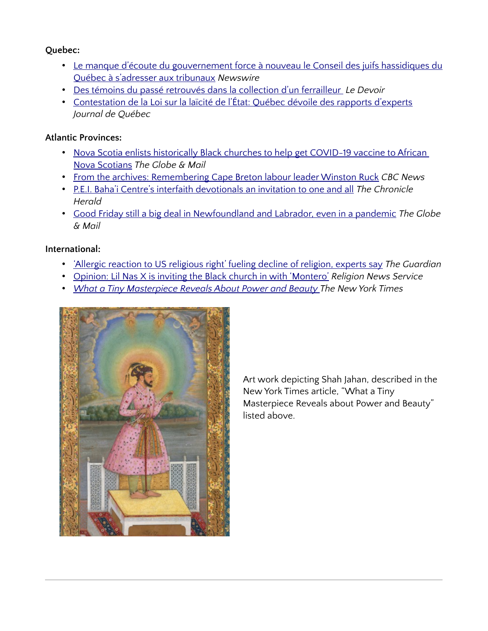#### **Quebec:**

- • [Le manque d'écoute du gouvernement force à nouveau le Conseil des juifs hassidiques du](https://www.newswire.ca/news-releases/le-manque-d-ecoute-du-gouvernement-force-a-nouveau-le-conseil-des-juifs-hassidiques-du-quebec-a-s-adresser-aux-tribunaux-884317100.html) [Québec à s'adresser aux tribunaux](https://www.newswire.ca/news-releases/le-manque-d-ecoute-du-gouvernement-force-a-nouveau-le-conseil-des-juifs-hassidiques-du-quebec-a-s-adresser-aux-tribunaux-884317100.html) *Newswire*
- • [Des témoins du passé retrouvés dans la collection d'un ferrailleur](https://www.ledevoir.com/culture/598341/patrimoine-des-temoins-du-passe-retrouves-chez-un-ferrailleur) *Le Devoir*
- • [Contestation de la Loi sur la laïcité de l'État: Québec dévoile des rapports d'experts](https://www.journaldequebec.com/2021/03/19/contestation-de-la-loi-sur-la-laicite-de-letat-quebec-devoile-des-rapports-dexperts) *Journal de Québec*

#### **Atlantic Provinces:**

- Nova Scotia enlists historically Black churches to help get COVID-19 vaccine to African [Nova Scotians](https://www.theglobeandmail.com/canada/article-nova-scotia-enlists-historically-black-churches-to-help-get-covid-19/) *The Globe & Mail*
- • [From the archives: Remembering Cape Breton labour leader Winston Ruck](https://www.cbc.ca/news/canada/nova-scotia/winston-ruck-labour-leader-cape-breton-1.5938185) *CBC News*
- • [P.E.I. Baha'i Centre's interfaith devotionals an invitation to one and all](https://www.thechronicleherald.ca/lifestyles/regional-lifestyles/pei-bahai-centres-interfaith-devotionals-an-invitation-to-one-and-all-573497/) *The Chronicle Herald*
- • [Good Friday still a big deal in Newfoundland and Labrador, even in a pandemic](https://www.theglobeandmail.com/canada/article-good-friday-still-a-big-deal-in-newfoundland-and-labrador-even-in-a-2/) *The Globe & Mail*

#### **International:**

- • ['Allergic reaction to US religious right' fueling decline of religion, experts say](https://www.theguardian.com/world/2021/apr/05/americans-religion-rightwing-politics-decline) *The Guardian*
- [Opinion: Lil Nas X is inviting the Black church in with 'Montero'](https://religionnews.com/2021/04/06/lil-nas-x-is-inviting-the-black-church-in-with-montero/) *Religion News Service*
- • *[What a Tiny Masterpiece Reveals About Power and Beauty T](https://www.nytimes.com/interactive/2021/04/02/arts/design/shah-jahan-chitarman.html)he New York Times*



Art work depicting Shah Jahan, described in the New York Times article, "What a Tiny Masterpiece Reveals about Power and Beauty" listed above.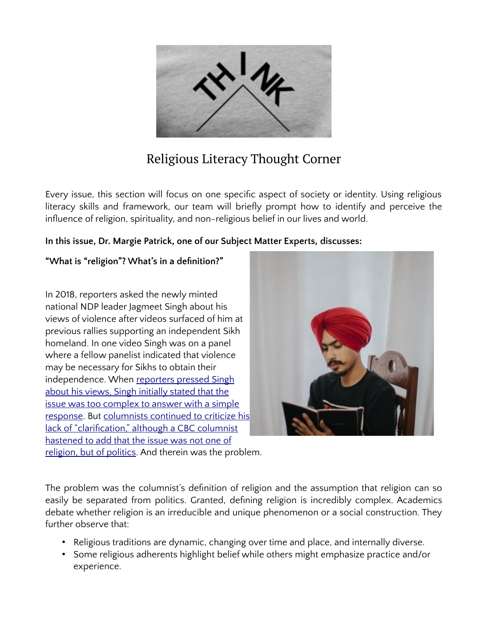

## Religious Literacy Thought Corner

Every issue, this section will focus on one specific aspect of society or identity. Using religious literacy skills and framework, our team will briefly prompt how to identify and perceive the influence of religion, spirituality, and non-religious belief in our lives and world.

#### **In this issue, Dr. Margie Patrick, one of our Subject Matter Experts, discusses:**

#### **"What is "religion"? What's in a definition?"**

In 2018, reporters asked the newly minted national NDP leader Jagmeet Singh about his views of violence after videos surfaced of him at previous rallies supporting an independent Sikh homeland. In one video Singh was on a panel where a fellow panelist indicated that violence may be necessary for Sikhs to obtain their independence. When [reporters pressed Singh](https://www.thestar.com/news/canada/2018/03/15/ndp-leader-jagmeet-singh-evades-questions-on-sikh-political-violence.html) about his views, Singh initially stated that the [issue was too complex to answer with a simple](https://www.thestar.com/news/canada/2018/03/15/ndp-leader-jagmeet-singh-evades-questions-on-sikh-political-violence.html) [response](https://www.thestar.com/news/canada/2018/03/15/ndp-leader-jagmeet-singh-evades-questions-on-sikh-political-violence.html). But [columnists continued to criticize his](https://www.cbc.ca/news/opinion/jagmeet-singh-1.4576838) [lack of "clarification," although a CBC columnist](https://www.cbc.ca/news/opinion/jagmeet-singh-1.4576838) [hastened to add that the issue was not one of](https://www.cbc.ca/news/opinion/jagmeet-singh-1.4576838) [religion, but of politics.](https://www.cbc.ca/news/opinion/jagmeet-singh-1.4576838) And therein was the problem.



The problem was the columnist's definition of religion and the assumption that religion can so easily be separated from politics. Granted, defining religion is incredibly complex. Academics debate whether religion is an irreducible and unique phenomenon or a social construction. They further observe that:

- Religious traditions are dynamic, changing over time and place, and internally diverse.
- Some religious adherents highlight belief while others might emphasize practice and/or experience.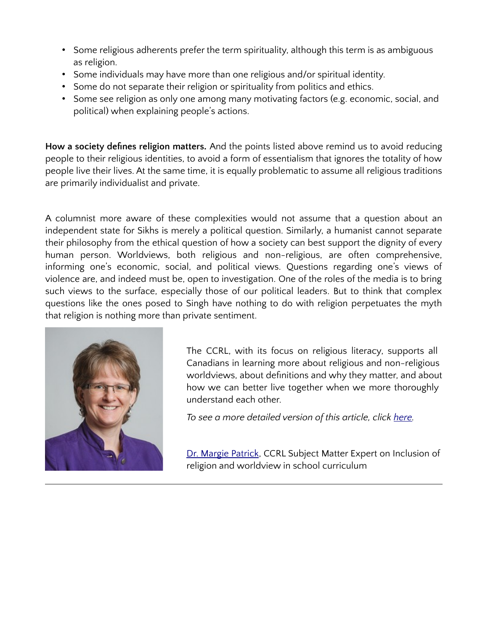- Some religious adherents prefer the term spirituality, although this term is as ambiguous as religion.
- Some individuals may have more than one religious and/or spiritual identity.
- Some do not separate their religion or spirituality from politics and ethics.
- Some see religion as only one among many motivating factors (e.g. economic, social, and political) when explaining people's actions.

**How a society defines religion matters.** And the points listed above remind us to avoid reducing people to their religious identities, to avoid a form of essentialism that ignores the totality of how people live their lives. At the same time, it is equally problematic to assume all religious traditions are primarily individualist and private.

A columnist more aware of these complexities would not assume that a question about an independent state for Sikhs is merely a political question. Similarly, a humanist cannot separate their philosophy from the ethical question of how a society can best support the dignity of every human person. Worldviews, both religious and non-religious, are often comprehensive, informing one's economic, social, and political views. Questions regarding one's views of violence are, and indeed must be, open to investigation. One of the roles of the media is to bring such views to the surface, especially those of our political leaders. But to think that complex questions like the ones posed to Singh have nothing to do with religion perpetuates the myth that religion is nothing more than private sentiment.



The CCRL, with its focus on religious literacy, supports all Canadians in learning more about religious and non-religious worldviews, about definitions and why they matter, and about how we can better live together when we more thoroughly understand each other.

*To see a more detailed version of this article, click [here](https://ccrl-clrc.ca/wp-content/uploads/2021/04/Definition-of-religion_MPatrick_CCRL.pdf).*

[Dr. Margie Patrick,](https://ccrl-clrc.ca/margie-patrick/) CCRL Subject Matter Expert on Inclusion of religion and worldview in school curriculum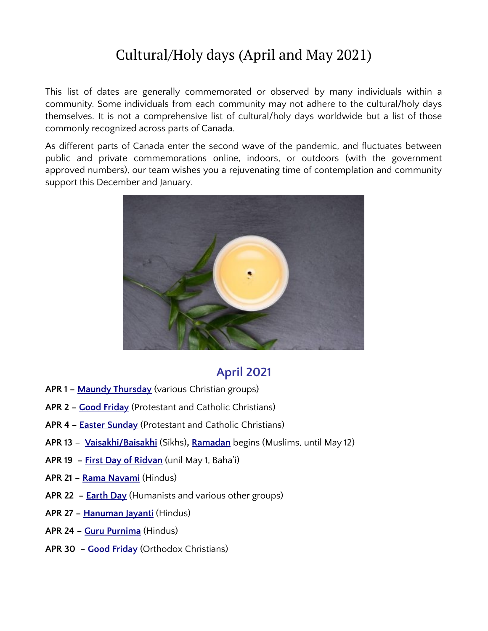# Cultural/Holy days (April and May 2021)

This list of dates are generally commemorated or observed by many individuals within a community. Some individuals from each community may not adhere to the cultural/holy days themselves. It is not a comprehensive list of cultural/holy days worldwide but a list of those commonly recognized across parts of Canada.

As different parts of Canada enter the second wave of the pandemic, and fluctuates between public and private commemorations online, indoors, or outdoors (with the government approved numbers), our team wishes you a rejuvenating time of contemplation and community support this December and January.



### **April 2021**

- **APR 1 – [Maundy Thursday](https://www.christianity.com/christian-life/what-is-maundy-thursday-11628350.html)** (various Christian groups)
- **APR 2 – [Good Friday](https://www.beliefnet.com/faiths/christianity/2007/03/faq-christian-holidays-during-holy-week.aspx)** (Protestant and Catholic Christians)
- **APR 4 – [Easter Sunday](https://www.history.com/topics/holidays/history-of-easter)** (Protestant and Catholic Christians)
- **APR 13 [Vaisakhi/Baisakhi](https://www.officeholidays.com/holidays/india/vaisakhi)** (Sikhs)**, [Ramadan](https://www.bbc.co.uk/newsround/23286976)** begins (Muslims, until May 12)
- **APR 19 – [First Day of Ridvan](https://bahaicanada.bahai.ca/the-first-day-of-ridvan-2/)** (unil May 1, Baha'i)
- **APR 21 [Rama Navami](https://www.officeholidays.com/countries/india/ram_navami.php)** (Hindus)
- **APR 22 – [Earth Day](https://earthday.ca/)** (Humanists and various other groups)
- **APR 27 – [Hanuman Jayanti](https://www.beliefnet.com/faiths/hinduism/what-is-hanuman-jayanti.aspx)** (Hindus)
- **APR 24 [Guru Purnima](https://www.beliefnet.com/columnists/omsweetom/2011/07/guru-purnima-celebrating-the-bond-between-guru-and-shishya.html)** (Hindus)
- **APR 30 – [Good Friday](https://www.beliefnet.com/columnists/religion101/2013/05/orthodox-easter-2013.html)** (Orthodox Christians)